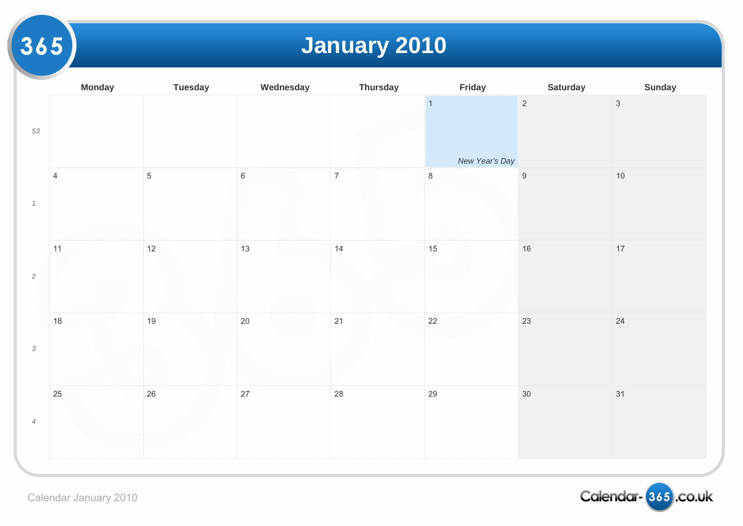# **January 2010**

|                | <b>Monday</b>  | <b>Tuesday</b> | Wednesday   | <b>Thursday</b> | Friday                           |                  |
|----------------|----------------|----------------|-------------|-----------------|----------------------------------|------------------|
| 53             |                |                |             |                 | $\overline{1}$<br>New Year's Day | $\overline{2}$   |
| $\it 1$        | $\overline{4}$ | $\sqrt{5}$     | $\,$ 6 $\,$ | $\overline{7}$  | $\,8\,$                          | $\boldsymbol{9}$ |
| $\sqrt{2}$     | 11             | $12$           | 13          | 14              | $15\,$                           | $16\,$           |
| $\sqrt{3}$     | $18$           | 19             | $20\,$      | $21$            | 22                               | 23               |
| $\overline{4}$ | $25\,$         | $26\,$         | $27\,$      | $28\,$          | $29\,$                           | $30\,$           |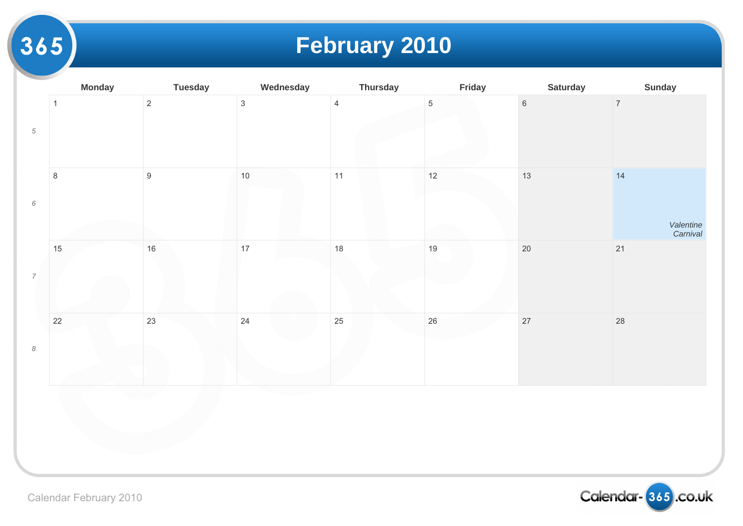### **February 2010**

|                            | <b>Monday</b> | <b>Tuesday</b> | Wednesday    | <b>Thursday</b> | Friday          |                 |
|----------------------------|---------------|----------------|--------------|-----------------|-----------------|-----------------|
| $\sqrt{5}$                 | $\mathbf{1}$  | $\overline{c}$ | $\mathbf{3}$ | $\overline{4}$  | $5\phantom{.0}$ | $6\overline{6}$ |
|                            | $\bf 8$       | $\overline{9}$ | $10$         | 11              | 12              | 13              |
| $\overline{\phantom{a}}$   | 15            | $16\,$         | 17           | 18              | $19$            | $20\,$          |
| $\boldsymbol{\mathcal{S}}$ | $22\,$        | 23             | $24$         | 25              | $26\,$          | $27\,$          |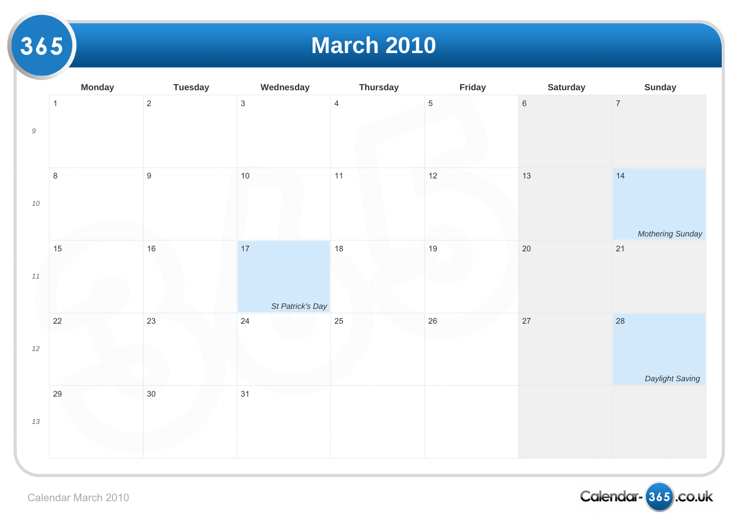#### **March 2010**

|                                                           | <b>Monday</b> | <b>Tuesday</b>   | Wednesday              | <b>Thursday</b> | Friday         |                 |
|-----------------------------------------------------------|---------------|------------------|------------------------|-----------------|----------------|-----------------|
| $\mathcal{G}% _{M_{1},M_{2}}^{\alpha,\beta}(\varepsilon)$ | $\mathbf{1}$  | $\overline{2}$   | $\mathfrak{S}$         | $\overline{4}$  | $\overline{5}$ | $6\overline{6}$ |
| $10\,$                                                    | $\,8\,$       | $\boldsymbol{9}$ | $10$                   | $11$            | 12             | $13$            |
|                                                           |               |                  |                        |                 |                |                 |
| $11\,$                                                    | 15            | $16\,$           | 17<br>St Patrick's Day | 18              | $19$           | $20\,$          |
| $12\,$                                                    | $22\,$        | 23               | 24                     | 25              | $26\,$         | $27\,$          |
| $13\,$                                                    | 29            | $30\,$           | 31                     |                 |                |                 |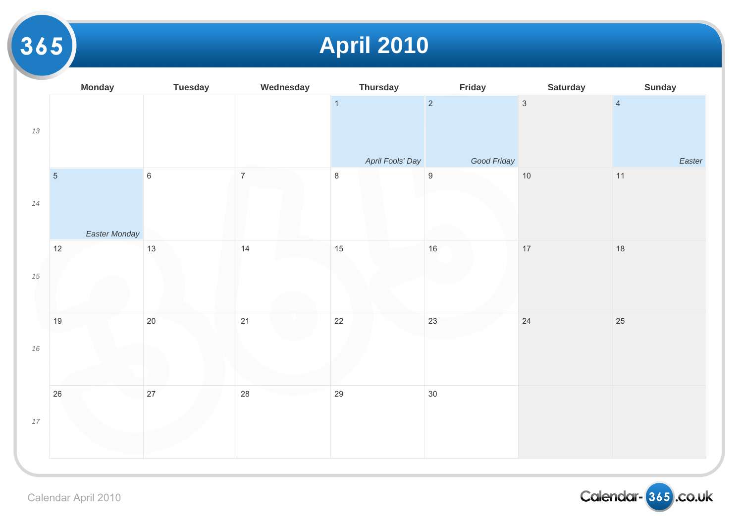## **April 2010**

|        | <b>Monday</b>  | <b>Tuesday</b> | Wednesday      | <b>Thursday</b>             | Friday                          |              |
|--------|----------------|----------------|----------------|-----------------------------|---------------------------------|--------------|
| 13     |                |                |                | $\overline{1}$              | $\overline{2}$                  | $\mathbf{3}$ |
|        | $\overline{5}$ | $\,6\,$        | $\overline{7}$ | April Fools' Day<br>$\,8\,$ | Good Friday<br>$\boldsymbol{9}$ | $10\,$       |
| $14$   | Easter Monday  |                |                |                             |                                 |              |
|        | 12             | $13$           | 14             | 15                          | $16\,$                          | $17\,$       |
| $15\,$ |                |                |                |                             |                                 |              |
| 16     | $19$           | $20\,$         | 21             | 22                          | 23                              | 24           |
| $17$   | $26\,$         | $27\,$         | 28             | 29                          | $30\,$                          |              |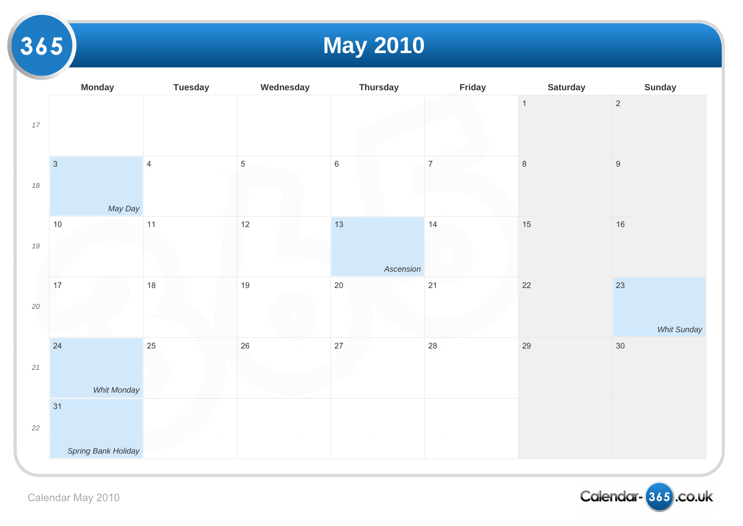## **May 2010**

|        | <b>Monday</b>            | <b>Tuesday</b> | Wednesday      | <b>Thursday</b> | Friday         |                |
|--------|--------------------------|----------------|----------------|-----------------|----------------|----------------|
| $17\,$ |                          |                |                |                 |                | $\overline{1}$ |
| $18\,$ | $\mathbf{3}$<br>May Day  | $\overline{4}$ | $\overline{5}$ | $\,6\,$         | $\overline{7}$ | $\,8\,$        |
| $19\,$ | 10                       | 11             | $12$           | 13<br>Ascension | 14             | $15\,$         |
| $20\,$ | 17                       | 18             | 19             | $20\,$          | 21             | $22\,$         |
| $21$   | 24<br><b>Whit Monday</b> | 25             | $26\,$         | $27\,$          | 28             | 29             |
| $22\,$ | 31                       |                |                |                 |                |                |
|        | Spring Bank Holiday      |                |                |                 |                |                |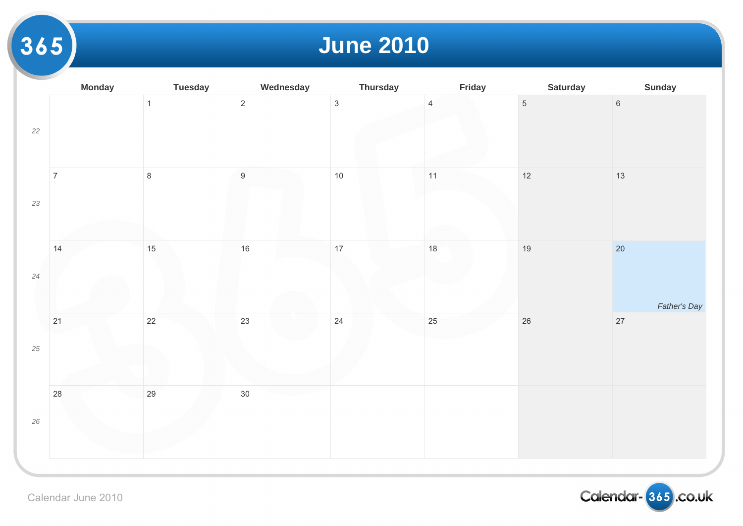### **June 2010**

|        | <b>Monday</b>  | <b>Tuesday</b> | Wednesday        | <b>Thursday</b> | Friday         |                |
|--------|----------------|----------------|------------------|-----------------|----------------|----------------|
| $22\,$ |                | $\mathbf{1}$   | $\overline{2}$   | $\mathbf{3}$    | $\overline{4}$ | $\overline{5}$ |
| 23     | $\overline{7}$ | $\,8\,$        | $\boldsymbol{9}$ | 10              | 11             | $12$           |
| $24\,$ | 14             | $15\,$         | $16\,$           | 17              | $18\,$         | 19             |
| $25\,$ | $21$           | 22             | 23               | 24              | $25\,$         | $26\,$         |
| $26\,$ | $28\,$         | 29             | $30\,$           |                 |                |                |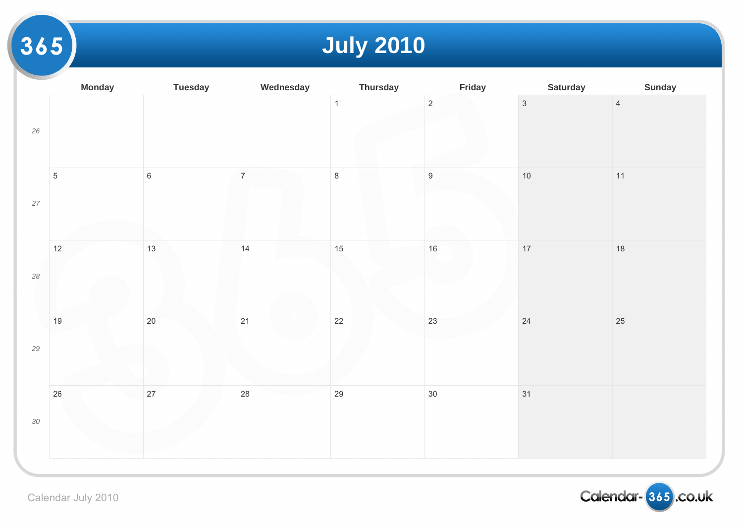## **July 2010**

|        | <b>Monday</b>  | <b>Tuesday</b> | Wednesday      | <b>Thursday</b> | Friday           |                |
|--------|----------------|----------------|----------------|-----------------|------------------|----------------|
| $26\,$ |                |                |                | $\overline{1}$  | $\overline{2}$   | $\overline{3}$ |
| $27\,$ | $\overline{5}$ | $\,$ 6 $\,$    | $\overline{7}$ | $\bf 8$         | $\boldsymbol{9}$ | $10$           |
| $28\,$ | 12             | 13             | 14             | 15              | $16\,$           | $17$           |
| $29\,$ | $19$           | $20\,$         | 21             | $22\,$          | 23               | 24             |
| $30\,$ | 26             | 27             | 28             | 29              | $30\,$           | 31             |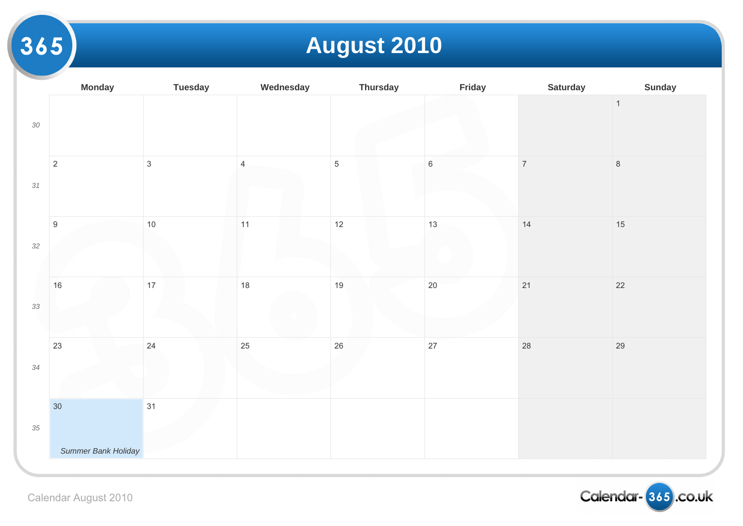### **August 2010**

|        | <b>Monday</b>       | <b>Tuesday</b> | Wednesday      | <b>Thursday</b> | Friday  |       |
|--------|---------------------|----------------|----------------|-----------------|---------|-------|
| $30\,$ |                     |                |                |                 |         |       |
| 31     | $\sqrt{2}$          | $\mathfrak{Z}$ | $\overline{4}$ | $\overline{5}$  | $\,6\,$ | $\,7$ |
| $32\,$ | $\boldsymbol{9}$    | $10$           | $11$           | $12$            | 13      | $14$  |
| 33     | 16                  | $17$           | $18$           | 19              | 20      | $21$  |
| $34\,$ | 23                  | 24             | 25             | $26\,$          | 27      | 28    |
|        | 30                  | 31             |                |                 |         |       |
| $35\,$ | Summer Bank Holiday |                |                |                 |         |       |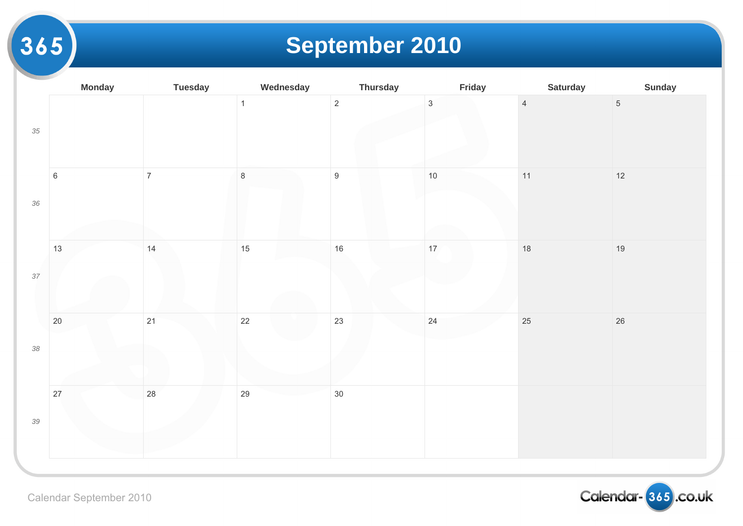### **September 2010**

|        | <b>Monday</b> | <b>Tuesday</b> | Wednesday      | <b>Thursday</b>  | Friday            |                |
|--------|---------------|----------------|----------------|------------------|-------------------|----------------|
| $35\,$ |               |                | $\overline{1}$ | $\overline{c}$   | $\overline{3}$    | $\overline{4}$ |
| $36\,$ | $\,6\,$       | $\overline{7}$ | $\,8\,$        | $\boldsymbol{9}$ | $10$              | $11$           |
| $37\,$ | 13            | 14             | 15             | 16               | $17 \overline{ }$ | 18             |
| $38\,$ | 20            | 21             | 22             | 23               | 24                | 25             |
| $39\,$ | $27\,$        | 28             | 29             | $30\,$           |                   |                |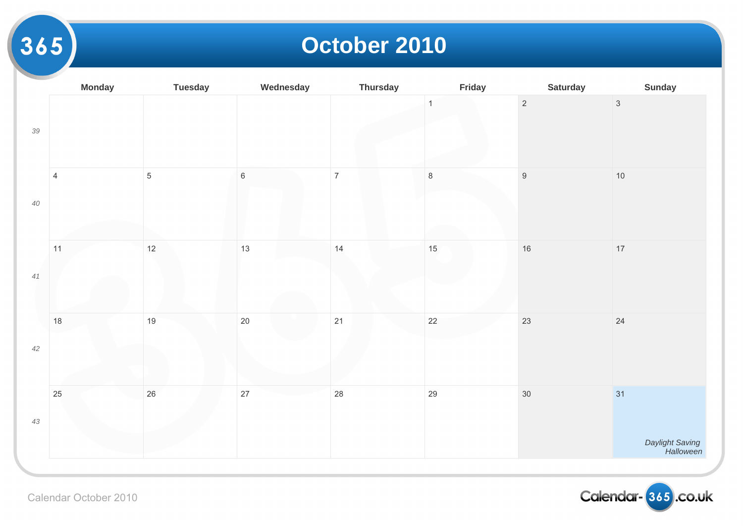#### **October 2010**

|        | <b>Monday</b>  | <b>Tuesday</b> | Wednesday   | <b>Thursday</b> | Friday       |                  |
|--------|----------------|----------------|-------------|-----------------|--------------|------------------|
| $39\,$ |                |                |             |                 | $\mathbf{1}$ | $\overline{2}$   |
| $40\,$ | $\overline{4}$ | $\overline{5}$ | $\,$ 6 $\,$ | $\overline{7}$  | $\,8\,$      | $\boldsymbol{9}$ |
| 41     | 11             | $12$           | 13          | 14              | 15           | $16\,$           |
| $42\,$ | $18$           | 19             | $20\,$      | 21              | 22           | 23               |
| $43\,$ | 25             | 26             | 27          | 28              | 29           | $30\,$           |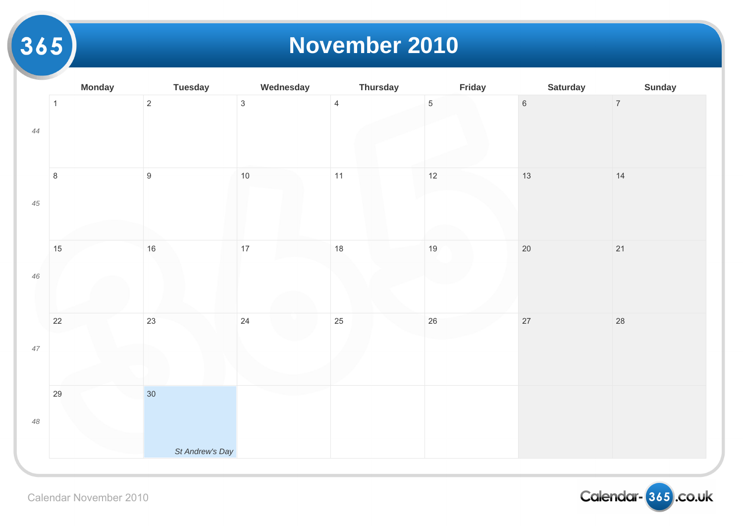#### **November 2010**

|        | <b>Monday</b> | <b>Tuesday</b>   | Wednesday      | <b>Thursday</b> | Friday     |                 |
|--------|---------------|------------------|----------------|-----------------|------------|-----------------|
| 44     | $\mathbf{1}$  | $\overline{c}$   | $\mathfrak{S}$ | $\overline{4}$  | $\sqrt{5}$ | $6\overline{6}$ |
| $45\,$ | $\,8\,$       | $\boldsymbol{9}$ | $10$           | 11              | 12         | 13              |
| $46\,$ | 15            | $16\,$           | 17             | 18              | $19$       | $20\,$          |
| $47\,$ | $22\,$        | 23               | 24             | 25              | $26\,$     | $27\,$          |
| $48\,$ | 29            | 30 <sup>°</sup>  |                |                 |            |                 |
|        |               | St Andrew's Day  |                |                 |            |                 |